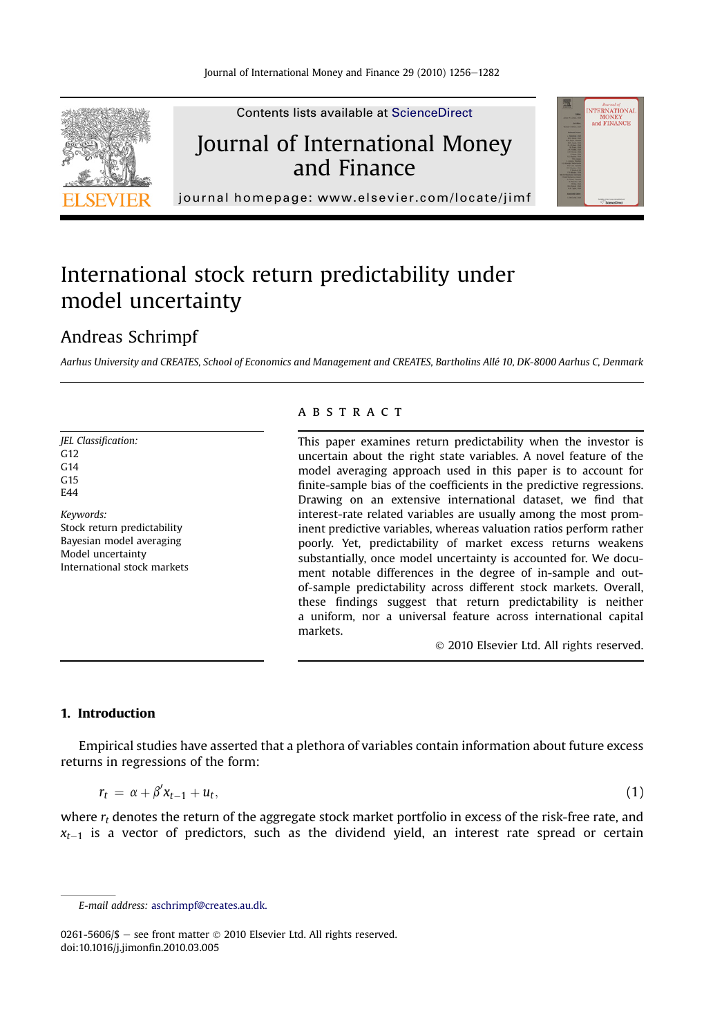<span id="page-0-0"></span>

Contents lists available at ScienceDirect

## Journal of International Money and Finance



journal homepage:<www.elsevier.com/locate/jimf>

# International stock return predictability under model uncertainty

### Andreas Schrimpf

Aarhus University and CREATES, School of Economics and Management and CREATES, Bartholins Allé 10, DK-8000 Aarhus C, Denmark

JEL Classification: G<sub>12</sub>  $G<sub>14</sub>$ G15  $FAA$ Keywords:

Stock return predictability Bayesian model averaging Model uncertainty International stock markets

#### **ABSTRACT**

This paper examines return predictability when the investor is uncertain about the right state variables. A novel feature of the model averaging approach used in this paper is to account for finite-sample bias of the coefficients in the predictive regressions. Drawing on an extensive international dataset, we find that interest-rate related variables are usually among the most prominent predictive variables, whereas valuation ratios perform rather poorly. Yet, predictability of market excess returns weakens substantially, once model uncertainty is accounted for. We document notable differences in the degree of in-sample and outof-sample predictability across different stock markets. Overall, these findings suggest that return predictability is neither a uniform, nor a universal feature across international capital markets.

2010 Elsevier Ltd. All rights reserved.

#### 1. Introduction

Empirical studies have asserted that a plethora of variables contain information about future excess returns in regressions of the form:

$$
r_t = \alpha + \beta' x_{t-1} + u_t, \tag{1}
$$

where  $r_t$  denotes the return of the aggregate stock market portfolio in excess of the risk-free rate, and  $x_{t-1}$  is a vector of predictors, such as the dividend yield, an interest rate spread or certain

0261-5606/\$ - see front matter  $\odot$  2010 Elsevier Ltd. All rights reserved. doi:10.1016/j.jimonfin.2010.03.005

E-mail address: [aschrimpf@creates.au.dk.](mailto:aschrimpf@creates.au.dk)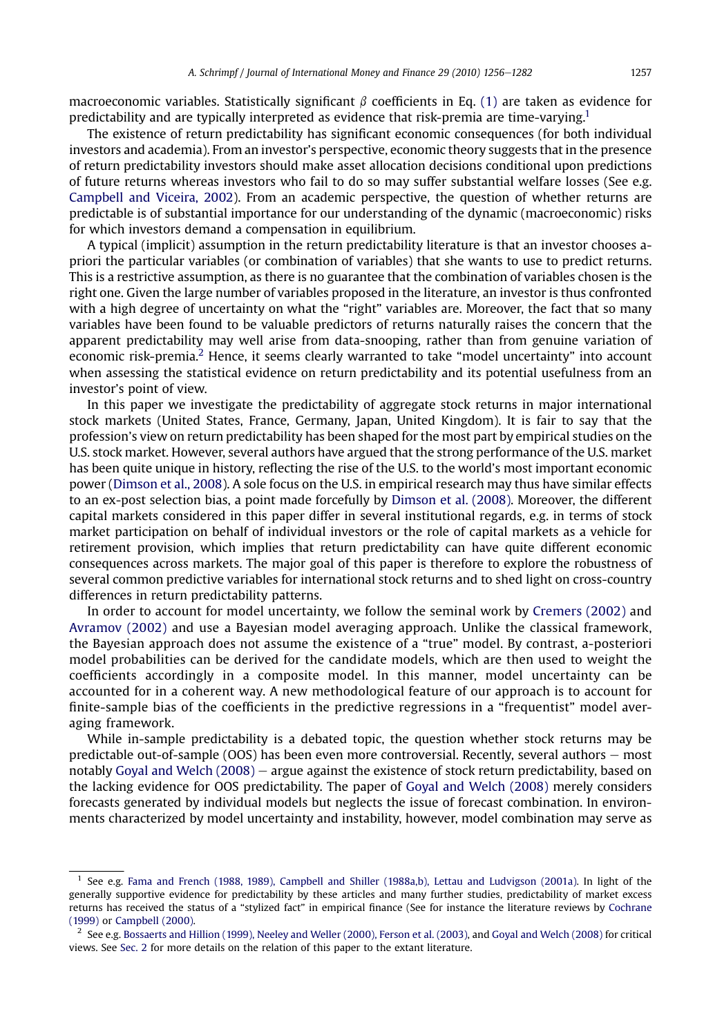macroeconomic variables. Statistically significant  $\beta$  coefficients in Eq. [\(1\)](#page-0-0) are taken as evidence for predictability and are typically interpreted as evidence that risk-premia are time-varying.1

The existence of return predictability has significant economic consequences (for both individual investors and academia). From an investor's perspective, economic theory suggests that in the presence of return predictability investors should make asset allocation decisions conditional upon predictions of future returns whereas investors who fail to do so may suffer substantial welfare losses (See e.g. [Campbell and Viceira, 2002](#page--1-0)). From an academic perspective, the question of whether returns are predictable is of substantial importance for our understanding of the dynamic (macroeconomic) risks for which investors demand a compensation in equilibrium.

A typical (implicit) assumption in the return predictability literature is that an investor chooses apriori the particular variables (or combination of variables) that she wants to use to predict returns. This is a restrictive assumption, as there is no guarantee that the combination of variables chosen is the right one. Given the large number of variables proposed in the literature, an investor is thus confronted with a high degree of uncertainty on what the "right" variables are. Moreover, the fact that so many variables have been found to be valuable predictors of returns naturally raises the concern that the apparent predictability may well arise from data-snooping, rather than from genuine variation of economic risk-premia.<sup>2</sup> Hence, it seems clearly warranted to take "model uncertainty" into account when assessing the statistical evidence on return predictability and its potential usefulness from an investor's point of view.

In this paper we investigate the predictability of aggregate stock returns in major international stock markets (United States, France, Germany, Japan, United Kingdom). It is fair to say that the profession's view on return predictability has been shaped for the most part by empirical studies on the U.S. stock market. However, several authors have argued that the strong performance of the U.S. market has been quite unique in history, reflecting the rise of the U.S. to the world's most important economic power [\(Dimson et al., 2008\)](#page--1-0). A sole focus on the U.S. in empirical research may thus have similar effects to an ex-post selection bias, a point made forcefully by [Dimson et al. \(2008\)](#page--1-0). Moreover, the different capital markets considered in this paper differ in several institutional regards, e.g. in terms of stock market participation on behalf of individual investors or the role of capital markets as a vehicle for retirement provision, which implies that return predictability can have quite different economic consequences across markets. The major goal of this paper is therefore to explore the robustness of several common predictive variables for international stock returns and to shed light on cross-country differences in return predictability patterns.

In order to account for model uncertainty, we follow the seminal work by [Cremers \(2002\)](#page--1-0) and [Avramov \(2002\)](#page--1-0) and use a Bayesian model averaging approach. Unlike the classical framework, the Bayesian approach does not assume the existence of a "true" model. By contrast, a-posteriori model probabilities can be derived for the candidate models, which are then used to weight the coefficients accordingly in a composite model. In this manner, model uncertainty can be accounted for in a coherent way. A new methodological feature of our approach is to account for finite-sample bias of the coefficients in the predictive regressions in a "frequentist" model averaging framework.

While in-sample predictability is a debated topic, the question whether stock returns may be predictable out-of-sample  $(OOS)$  has been even more controversial. Recently, several authors  $-$  most notably Goyal and Welch  $(2008)$  – argue against the existence of stock return predictability, based on the lacking evidence for OOS predictability. The paper of [Goyal and Welch \(2008\)](#page--1-0) merely considers forecasts generated by individual models but neglects the issue of forecast combination. In environments characterized by model uncertainty and instability, however, model combination may serve as

<sup>1</sup> See e.g. [Fama and French \(1988, 1989\), Campbell and Shiller \(1988a,b\), Lettau and Ludvigson \(2001a\).](#page--1-0) In light of the generally supportive evidence for predictability by these articles and many further studies, predictability of market excess returns has received the status of a "stylized fact" in empirical finance (See for instance the literature reviews by [Cochrane](#page--1-0) [\(1999\)](#page--1-0) or [Campbell \(2000\).](#page--1-0)

 $2$  See e.g. [Bossaerts and Hillion \(1999\), Neeley and Weller \(2000\), Ferson et al. \(2003\),](#page--1-0) and [Goyal and Welch \(2008\)](#page--1-0) for critical views. See [Sec. 2](#page--1-0) for more details on the relation of this paper to the extant literature.